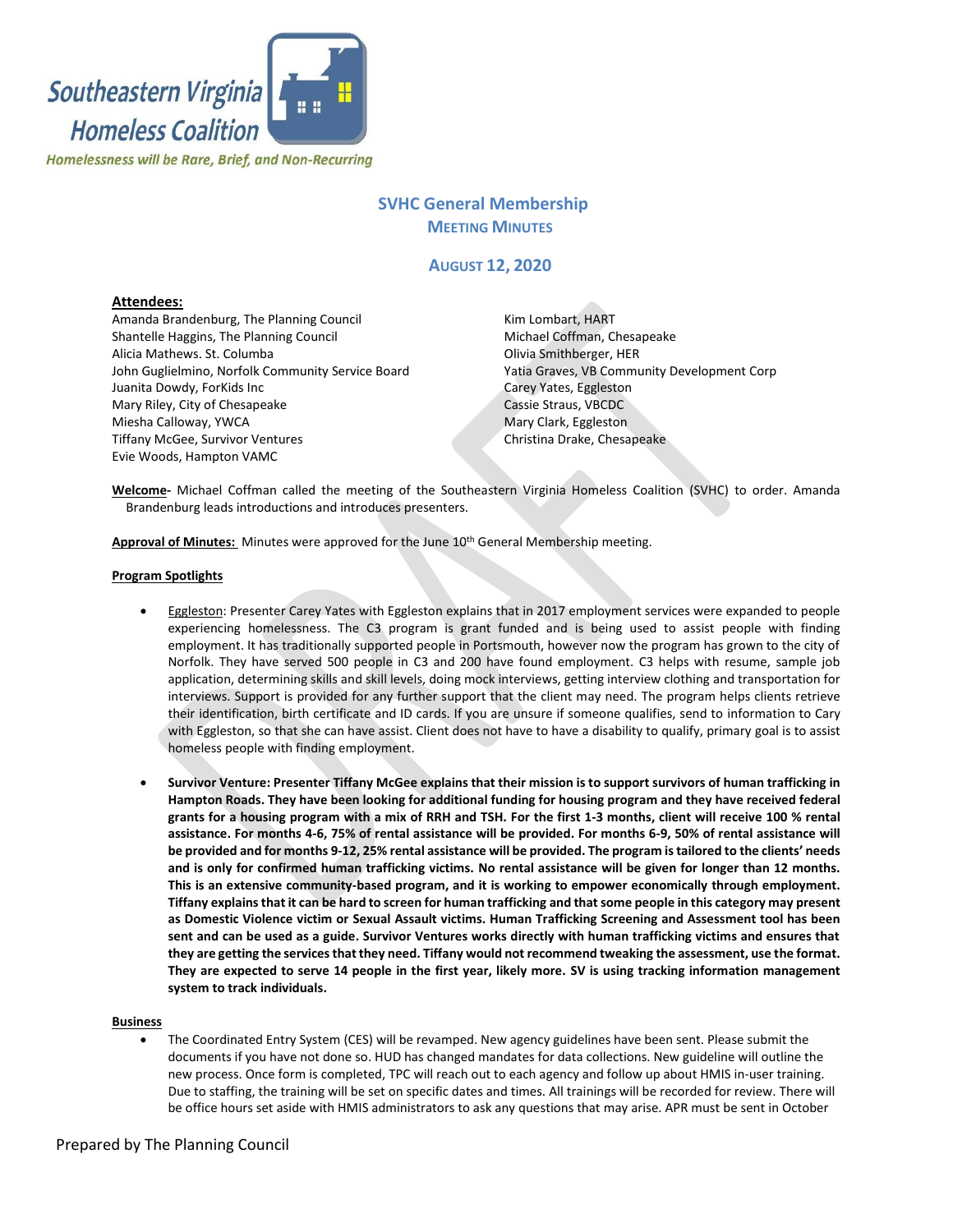

# **SVHC General Membership MEETING MINUTES**

# **AUGUST 12, 2020**

### **Attendees:**

Amanda Brandenburg, The Planning Council Shantelle Haggins, The Planning Council Alicia Mathews. St. Columba John Guglielmino, Norfolk Community Service Board Juanita Dowdy, ForKids Inc Mary Riley, City of Chesapeake Miesha Calloway, YWCA Tiffany McGee, Survivor Ventures Evie Woods, Hampton VAMC

Kim Lombart, HART Michael Coffman, Chesapeake Olivia Smithberger, HER Yatia Graves, VB Community Development Corp Carey Yates, Eggleston Cassie Straus, VBCDC Mary Clark, Eggleston Christina Drake, Chesapeake

**Welcome-** Michael Coffman called the meeting of the Southeastern Virginia Homeless Coalition (SVHC) to order. Amanda Brandenburg leads introductions and introduces presenters.

**Approval of Minutes:** Minutes were approved for the June 10th General Membership meeting.

#### **Program Spotlights**

- Eggleston: Presenter Carey Yates with Eggleston explains that in 2017 employment services were expanded to people experiencing homelessness. The C3 program is grant funded and is being used to assist people with finding employment. It has traditionally supported people in Portsmouth, however now the program has grown to the city of Norfolk. They have served 500 people in C3 and 200 have found employment. C3 helps with resume, sample job application, determining skills and skill levels, doing mock interviews, getting interview clothing and transportation for interviews. Support is provided for any further support that the client may need. The program helps clients retrieve their identification, birth certificate and ID cards. If you are unsure if someone qualifies, send to information to Cary with Eggleston, so that she can have assist. Client does not have to have a disability to qualify, primary goal is to assist homeless people with finding employment.
- **Survivor Venture: Presenter Tiffany McGee explains that their mission is to support survivors of human trafficking in Hampton Roads. They have been looking for additional funding for housing program and they have received federal grants for a housing program with a mix of RRH and TSH. For the first 1-3 months, client will receive 100 % rental assistance. For months 4-6, 75% of rental assistance will be provided. For months 6-9, 50% of rental assistance will be provided and for months 9-12, 25% rental assistance will be provided. The program is tailored to the clients' needs and is only for confirmed human trafficking victims. No rental assistance will be given for longer than 12 months. This is an extensive community-based program, and it is working to empower economically through employment. Tiffany explains that it can be hard to screen for human trafficking and that some people in this category may present as Domestic Violence victim or Sexual Assault victims. Human Trafficking Screening and Assessment tool has been sent and can be used as a guide. Survivor Ventures works directly with human trafficking victims and ensures that they are getting the services that they need. Tiffany would not recommend tweaking the assessment, use the format. They are expected to serve 14 people in the first year, likely more. SV is using tracking information management system to track individuals.**

#### **Business**

• The Coordinated Entry System (CES) will be revamped. New agency guidelines have been sent. Please submit the documents if you have not done so. HUD has changed mandates for data collections. New guideline will outline the new process. Once form is completed, TPC will reach out to each agency and follow up about HMIS in-user training. Due to staffing, the training will be set on specific dates and times. All trainings will be recorded for review. There will be office hours set aside with HMIS administrators to ask any questions that may arise. APR must be sent in October